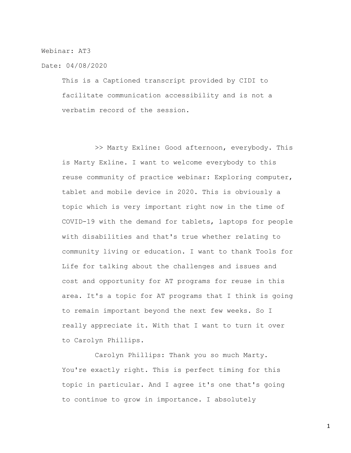Webinar: AT3

Date: 04/08/2020

This is a Captioned transcript provided by CIDI to facilitate communication accessibility and is not a verbatim record of the session.

>> Marty Exline: Good afternoon, everybody. This is Marty Exline. I want to welcome everybody to this reuse community of practice webinar: Exploring computer, tablet and mobile device in 2020. This is obviously a topic which is very important right now in the time of COVID-19 with the demand for tablets, laptops for people with disabilities and that's true whether relating to community living or education. I want to thank Tools for Life for talking about the challenges and issues and cost and opportunity for AT programs for reuse in this area. It's a topic for AT programs that I think is going to remain important beyond the next few weeks. So I really appreciate it. With that I want to turn it over to Carolyn Phillips.

Carolyn Phillips: Thank you so much Marty. You're exactly right. This is perfect timing for this topic in particular. And I agree it's one that's going to continue to grow in importance. I absolutely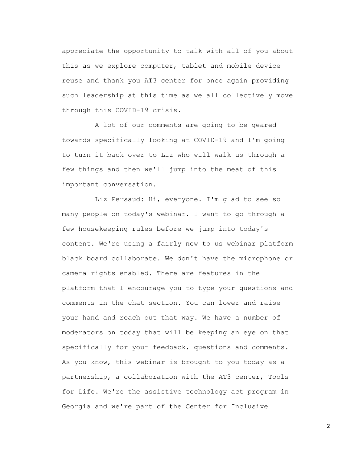appreciate the opportunity to talk with all of you about this as we explore computer, tablet and mobile device reuse and thank you AT3 center for once again providing such leadership at this time as we all collectively move through this COVID-19 crisis.

A lot of our comments are going to be geared towards specifically looking at COVID-19 and I'm going to turn it back over to Liz who will walk us through a few things and then we'll jump into the meat of this important conversation.

Liz Persaud: Hi, everyone. I'm glad to see so many people on today's webinar. I want to go through a few housekeeping rules before we jump into today's content. We're using a fairly new to us webinar platform black board collaborate. We don't have the microphone or camera rights enabled. There are features in the platform that I encourage you to type your questions and comments in the chat section. You can lower and raise your hand and reach out that way. We have a number of moderators on today that will be keeping an eye on that specifically for your feedback, questions and comments. As you know, this webinar is brought to you today as a partnership, a collaboration with the AT3 center, Tools for Life. We're the assistive technology act program in Georgia and we're part of the Center for Inclusive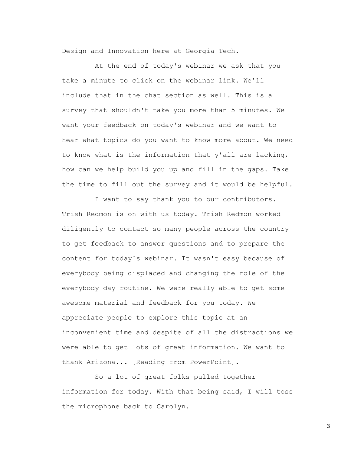Design and Innovation here at Georgia Tech.

At the end of today's webinar we ask that you take a minute to click on the webinar link. We'll include that in the chat section as well. This is a survey that shouldn't take you more than 5 minutes. We want your feedback on today's webinar and we want to hear what topics do you want to know more about. We need to know what is the information that y'all are lacking, how can we help build you up and fill in the gaps. Take the time to fill out the survey and it would be helpful.

I want to say thank you to our contributors. Trish Redmon is on with us today. Trish Redmon worked diligently to contact so many people across the country to get feedback to answer questions and to prepare the content for today's webinar. It wasn't easy because of everybody being displaced and changing the role of the everybody day routine. We were really able to get some awesome material and feedback for you today. We appreciate people to explore this topic at an inconvenient time and despite of all the distractions we were able to get lots of great information. We want to thank Arizona... [Reading from PowerPoint].

So a lot of great folks pulled together information for today. With that being said, I will toss the microphone back to Carolyn.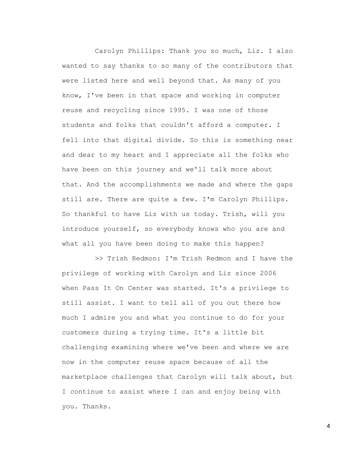Carolyn Phillips: Thank you so much, Liz. I also wanted to say thanks to so many of the contributors that were listed here and well beyond that. As many of you know, I've been in that space and working in computer reuse and recycling since 1995. I was one of those students and folks that couldn't afford a computer. I fell into that digital divide. So this is something near and dear to my heart and I appreciate all the folks who have been on this journey and we'll talk more about that. And the accomplishments we made and where the gaps still are. There are quite a few. I'm Carolyn Phillips. So thankful to have Liz with us today. Trish, will you introduce yourself, so everybody knows who you are and what all you have been doing to make this happen?

>> Trish Redmon: I'm Trish Redmon and I have the privilege of working with Carolyn and Liz since 2006 when Pass It On Center was started. It's a privilege to still assist. I want to tell all of you out there how much I admire you and what you continue to do for your customers during a trying time. It's a little bit challenging examining where we've been and where we are now in the computer reuse space because of all the marketplace challenges that Carolyn will talk about, but I continue to assist where I can and enjoy being with you. Thanks.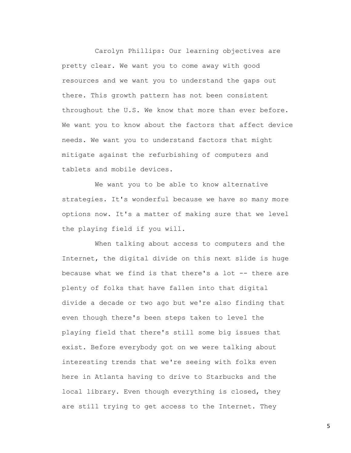Carolyn Phillips: Our learning objectives are pretty clear. We want you to come away with good resources and we want you to understand the gaps out there. This growth pattern has not been consistent throughout the U.S. We know that more than ever before. We want you to know about the factors that affect device needs. We want you to understand factors that might mitigate against the refurbishing of computers and tablets and mobile devices.

We want you to be able to know alternative strategies. It's wonderful because we have so many more options now. It's a matter of making sure that we level the playing field if you will.

When talking about access to computers and the Internet, the digital divide on this next slide is huge because what we find is that there's a lot -- there are plenty of folks that have fallen into that digital divide a decade or two ago but we're also finding that even though there's been steps taken to level the playing field that there's still some big issues that exist. Before everybody got on we were talking about interesting trends that we're seeing with folks even here in Atlanta having to drive to Starbucks and the local library. Even though everything is closed, they are still trying to get access to the Internet. They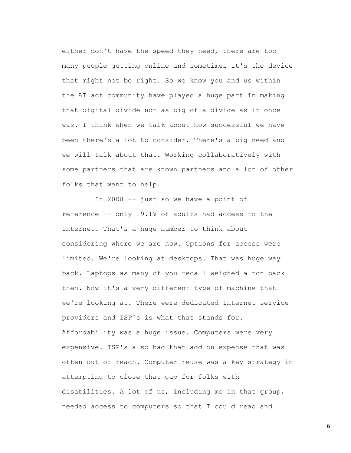either don't have the speed they need, there are too many people getting online and sometimes it's the device that might not be right. So we know you and us within the AT act community have played a huge part in making that digital divide not as big of a divide as it once was. I think when we talk about how successful we have been there's a lot to consider. There's a big need and we will talk about that. Working collaboratively with some partners that are known partners and a lot of other folks that want to help.

In 2008 -- just so we have a point of reference -- only 19.1% of adults had access to the Internet. That's a huge number to think about considering where we are now. Options for access were limited. We're looking at desktops. That was huge way back. Laptops as many of you recall weighed a ton back then. Now it's a very different type of machine that we're looking at. There were dedicated Internet service providers and ISP's is what that stands for. Affordability was a huge issue. Computers were very expensive. ISP's also had that add on expense that was often out of reach. Computer reuse was a key strategy in attempting to close that gap for folks with disabilities. A lot of us, including me in that group, needed access to computers so that I could read and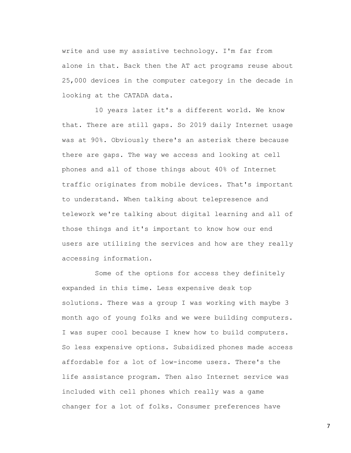write and use my assistive technology. I'm far from alone in that. Back then the AT act programs reuse about 25,000 devices in the computer category in the decade in looking at the CATADA data.

10 years later it's a different world. We know that. There are still gaps. So 2019 daily Internet usage was at 90%. Obviously there's an asterisk there because there are gaps. The way we access and looking at cell phones and all of those things about 40% of Internet traffic originates from mobile devices. That's important to understand. When talking about telepresence and telework we're talking about digital learning and all of those things and it's important to know how our end users are utilizing the services and how are they really accessing information.

Some of the options for access they definitely expanded in this time. Less expensive desk top solutions. There was a group I was working with maybe 3 month ago of young folks and we were building computers. I was super cool because I knew how to build computers. So less expensive options. Subsidized phones made access affordable for a lot of low-income users. There's the life assistance program. Then also Internet service was included with cell phones which really was a game changer for a lot of folks. Consumer preferences have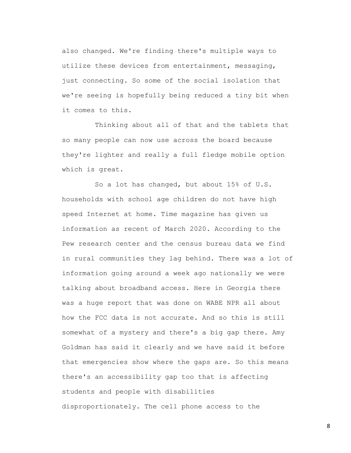also changed. We're finding there's multiple ways to utilize these devices from entertainment, messaging, just connecting. So some of the social isolation that we're seeing is hopefully being reduced a tiny bit when it comes to this.

Thinking about all of that and the tablets that so many people can now use across the board because they're lighter and really a full fledge mobile option which is great.

So a lot has changed, but about 15% of U.S. households with school age children do not have high speed Internet at home. Time magazine has given us information as recent of March 2020. According to the Pew research center and the census bureau data we find in rural communities they lag behind. There was a lot of information going around a week ago nationally we were talking about broadband access. Here in Georgia there was a huge report that was done on WABE NPR all about how the FCC data is not accurate. And so this is still somewhat of a mystery and there's a big gap there. Amy Goldman has said it clearly and we have said it before that emergencies show where the gaps are. So this means there's an accessibility gap too that is affecting students and people with disabilities disproportionately. The cell phone access to the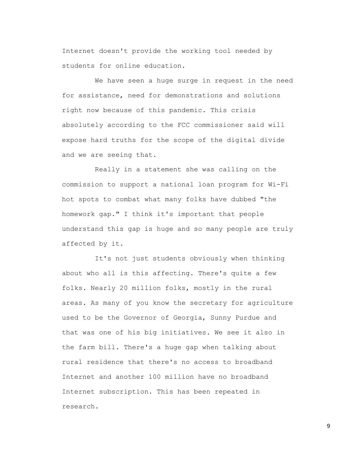Internet doesn't provide the working tool needed by students for online education.

We have seen a huge surge in request in the need for assistance, need for demonstrations and solutions right now because of this pandemic. This crisis absolutely according to the FCC commissioner said will expose hard truths for the scope of the digital divide and we are seeing that.

Really in a statement she was calling on the commission to support a national loan program for Wi-Fi hot spots to combat what many folks have dubbed "the homework gap." I think it's important that people understand this gap is huge and so many people are truly affected by it.

It's not just students obviously when thinking about who all is this affecting. There's quite a few folks. Nearly 20 million folks, mostly in the rural areas. As many of you know the secretary for agriculture used to be the Governor of Georgia, Sunny Purdue and that was one of his big initiatives. We see it also in the farm bill. There's a huge gap when talking about rural residence that there's no access to broadband Internet and another 100 million have no broadband Internet subscription. This has been repeated in research.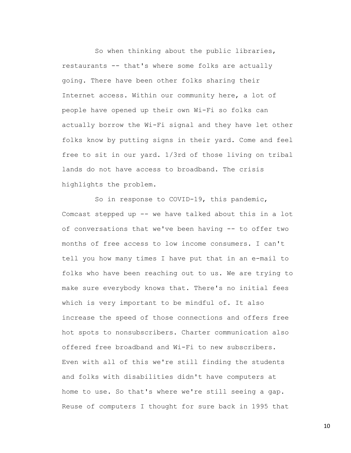So when thinking about the public libraries, restaurants -- that's where some folks are actually going. There have been other folks sharing their Internet access. Within our community here, a lot of people have opened up their own Wi-Fi so folks can actually borrow the Wi-Fi signal and they have let other folks know by putting signs in their yard. Come and feel free to sit in our yard. 1/3rd of those living on tribal lands do not have access to broadband. The crisis highlights the problem.

So in response to COVID-19, this pandemic, Comcast stepped up -- we have talked about this in a lot of conversations that we've been having -- to offer two months of free access to low income consumers. I can't tell you how many times I have put that in an e-mail to folks who have been reaching out to us. We are trying to make sure everybody knows that. There's no initial fees which is very important to be mindful of. It also increase the speed of those connections and offers free hot spots to nonsubscribers. Charter communication also offered free broadband and Wi-Fi to new subscribers. Even with all of this we're still finding the students and folks with disabilities didn't have computers at home to use. So that's where we're still seeing a gap. Reuse of computers I thought for sure back in 1995 that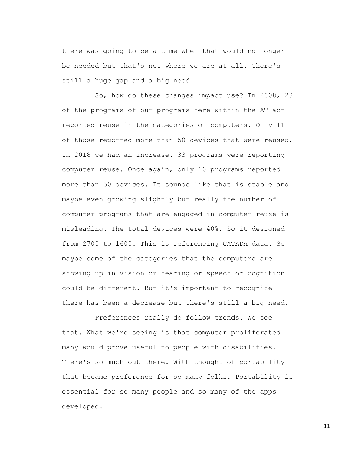there was going to be a time when that would no longer be needed but that's not where we are at all. There's still a huge gap and a big need.

So, how do these changes impact use? In 2008, 28 of the programs of our programs here within the AT act reported reuse in the categories of computers. Only 11 of those reported more than 50 devices that were reused. In 2018 we had an increase. 33 programs were reporting computer reuse. Once again, only 10 programs reported more than 50 devices. It sounds like that is stable and maybe even growing slightly but really the number of computer programs that are engaged in computer reuse is misleading. The total devices were 40%. So it designed from 2700 to 1600. This is referencing CATADA data. So maybe some of the categories that the computers are showing up in vision or hearing or speech or cognition could be different. But it's important to recognize there has been a decrease but there's still a big need.

Preferences really do follow trends. We see that. What we're seeing is that computer proliferated many would prove useful to people with disabilities. There's so much out there. With thought of portability that became preference for so many folks. Portability is essential for so many people and so many of the apps developed.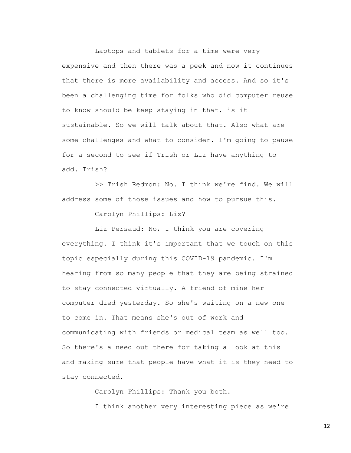Laptops and tablets for a time were very expensive and then there was a peek and now it continues that there is more availability and access. And so it's been a challenging time for folks who did computer reuse to know should be keep staying in that, is it sustainable. So we will talk about that. Also what are some challenges and what to consider. I'm going to pause for a second to see if Trish or Liz have anything to add. Trish?

>> Trish Redmon: No. I think we're find. We will address some of those issues and how to pursue this.

Carolyn Phillips: Liz?

Liz Persaud: No, I think you are covering everything. I think it's important that we touch on this topic especially during this COVID-19 pandemic. I'm hearing from so many people that they are being strained to stay connected virtually. A friend of mine her computer died yesterday. So she's waiting on a new one to come in. That means she's out of work and communicating with friends or medical team as well too. So there's a need out there for taking a look at this and making sure that people have what it is they need to stay connected.

> Carolyn Phillips: Thank you both. I think another very interesting piece as we're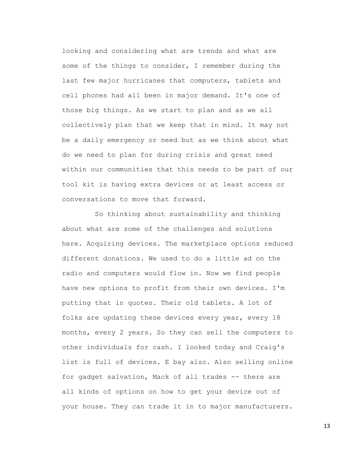looking and considering what are trends and what are some of the things to consider, I remember during the last few major hurricanes that computers, tablets and cell phones had all been in major demand. It's one of those big things. As we start to plan and as we all collectively plan that we keep that in mind. It may not be a daily emergency or need but as we think about what do we need to plan for during crisis and great need within our communities that this needs to be part of our tool kit is having extra devices or at least access or conversations to move that forward.

So thinking about sustainability and thinking about what are some of the challenges and solutions here. Acquiring devices. The marketplace options reduced different donations. We used to do a little ad on the radio and computers would flow in. Now we find people have new options to profit from their own devices. I'm putting that in quotes. Their old tablets. A lot of folks are updating these devices every year, every 18 months, every 2 years. So they can sell the computers to other individuals for cash. I looked today and Craig's list is full of devices. E bay also. Also selling online for gadget salvation, Mack of all trades -- there are all kinds of options on how to get your device out of your house. They can trade it in to major manufacturers.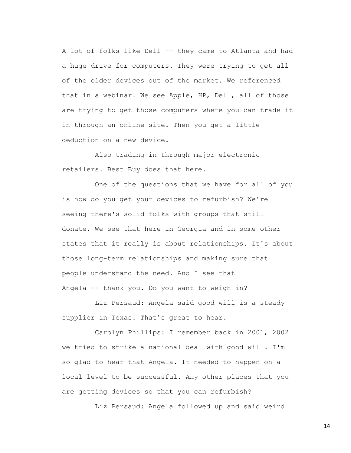A lot of folks like Dell -- they came to Atlanta and had a huge drive for computers. They were trying to get all of the older devices out of the market. We referenced that in a webinar. We see Apple, HP, Dell, all of those are trying to get those computers where you can trade it in through an online site. Then you get a little deduction on a new device.

Also trading in through major electronic retailers. Best Buy does that here.

One of the questions that we have for all of you is how do you get your devices to refurbish? We're seeing there's solid folks with groups that still donate. We see that here in Georgia and in some other states that it really is about relationships. It's about those long-term relationships and making sure that people understand the need. And I see that Angela -- thank you. Do you want to weigh in?

Liz Persaud: Angela said good will is a steady supplier in Texas. That's great to hear.

Carolyn Phillips: I remember back in 2001, 2002 we tried to strike a national deal with good will. I'm so glad to hear that Angela. It needed to happen on a local level to be successful. Any other places that you are getting devices so that you can refurbish?

Liz Persaud: Angela followed up and said weird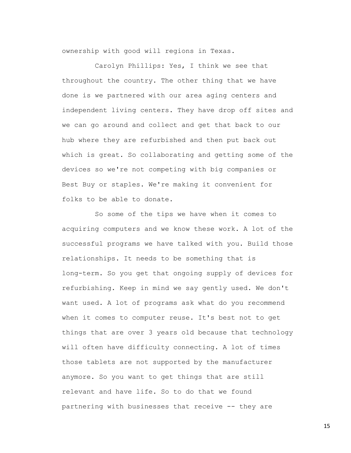ownership with good will regions in Texas.

Carolyn Phillips: Yes, I think we see that throughout the country. The other thing that we have done is we partnered with our area aging centers and independent living centers. They have drop off sites and we can go around and collect and get that back to our hub where they are refurbished and then put back out which is great. So collaborating and getting some of the devices so we're not competing with big companies or Best Buy or staples. We're making it convenient for folks to be able to donate.

So some of the tips we have when it comes to acquiring computers and we know these work. A lot of the successful programs we have talked with you. Build those relationships. It needs to be something that is long-term. So you get that ongoing supply of devices for refurbishing. Keep in mind we say gently used. We don't want used. A lot of programs ask what do you recommend when it comes to computer reuse. It's best not to get things that are over 3 years old because that technology will often have difficulty connecting. A lot of times those tablets are not supported by the manufacturer anymore. So you want to get things that are still relevant and have life. So to do that we found partnering with businesses that receive -- they are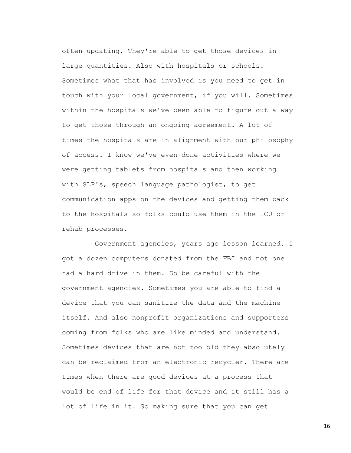often updating. They're able to get those devices in large quantities. Also with hospitals or schools. Sometimes what that has involved is you need to get in touch with your local government, if you will. Sometimes within the hospitals we've been able to figure out a way to get those through an ongoing agreement. A lot of times the hospitals are in alignment with our philosophy of access. I know we've even done activities where we were getting tablets from hospitals and then working with SLP's, speech language pathologist, to get communication apps on the devices and getting them back to the hospitals so folks could use them in the ICU or rehab processes.

Government agencies, years ago lesson learned. I got a dozen computers donated from the FBI and not one had a hard drive in them. So be careful with the government agencies. Sometimes you are able to find a device that you can sanitize the data and the machine itself. And also nonprofit organizations and supporters coming from folks who are like minded and understand. Sometimes devices that are not too old they absolutely can be reclaimed from an electronic recycler. There are times when there are good devices at a process that would be end of life for that device and it still has a lot of life in it. So making sure that you can get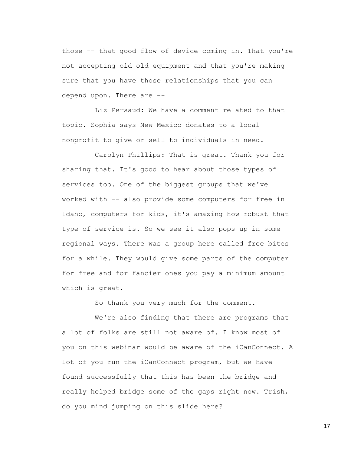those -- that good flow of device coming in. That you're not accepting old old equipment and that you're making sure that you have those relationships that you can depend upon. There are --

Liz Persaud: We have a comment related to that topic. Sophia says New Mexico donates to a local nonprofit to give or sell to individuals in need.

Carolyn Phillips: That is great. Thank you for sharing that. It's good to hear about those types of services too. One of the biggest groups that we've worked with -- also provide some computers for free in Idaho, computers for kids, it's amazing how robust that type of service is. So we see it also pops up in some regional ways. There was a group here called free bites for a while. They would give some parts of the computer for free and for fancier ones you pay a minimum amount which is great.

So thank you very much for the comment.

We're also finding that there are programs that a lot of folks are still not aware of. I know most of you on this webinar would be aware of the iCanConnect. A lot of you run the iCanConnect program, but we have found successfully that this has been the bridge and really helped bridge some of the gaps right now. Trish, do you mind jumping on this slide here?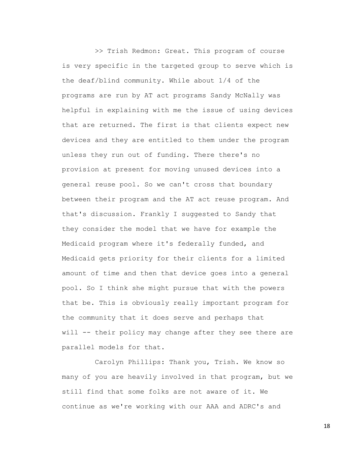>> Trish Redmon: Great. This program of course is very specific in the targeted group to serve which is the deaf/blind community. While about 1/4 of the programs are run by AT act programs Sandy McNally was helpful in explaining with me the issue of using devices that are returned. The first is that clients expect new devices and they are entitled to them under the program unless they run out of funding. There there's no provision at present for moving unused devices into a general reuse pool. So we can't cross that boundary between their program and the AT act reuse program. And that's discussion. Frankly I suggested to Sandy that they consider the model that we have for example the Medicaid program where it's federally funded, and Medicaid gets priority for their clients for a limited amount of time and then that device goes into a general pool. So I think she might pursue that with the powers that be. This is obviously really important program for the community that it does serve and perhaps that will -- their policy may change after they see there are parallel models for that.

Carolyn Phillips: Thank you, Trish. We know so many of you are heavily involved in that program, but we still find that some folks are not aware of it. We continue as we're working with our AAA and ADRC's and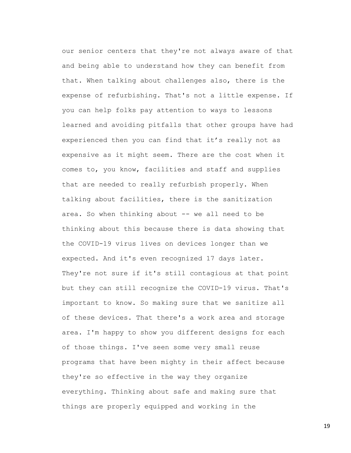our senior centers that they're not always aware of that and being able to understand how they can benefit from that. When talking about challenges also, there is the expense of refurbishing. That's not a little expense. If you can help folks pay attention to ways to lessons learned and avoiding pitfalls that other groups have had experienced then you can find that it's really not as expensive as it might seem. There are the cost when it comes to, you know, facilities and staff and supplies that are needed to really refurbish properly. When talking about facilities, there is the sanitization area. So when thinking about -- we all need to be thinking about this because there is data showing that the COVID-19 virus lives on devices longer than we expected. And it's even recognized 17 days later. They're not sure if it's still contagious at that point but they can still recognize the COVID-19 virus. That's important to know. So making sure that we sanitize all of these devices. That there's a work area and storage area. I'm happy to show you different designs for each of those things. I've seen some very small reuse programs that have been mighty in their affect because they're so effective in the way they organize everything. Thinking about safe and making sure that things are properly equipped and working in the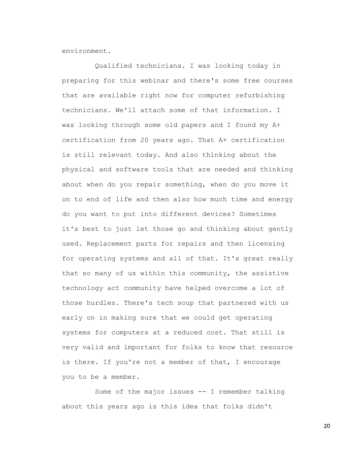environment.

Qualified technicians. I was looking today in preparing for this webinar and there's some free courses that are available right now for computer refurbishing technicians. We'll attach some of that information. I was looking through some old papers and I found my A+ certification from 20 years ago. That A+ certification is still relevant today. And also thinking about the physical and software tools that are needed and thinking about when do you repair something, when do you move it on to end of life and then also how much time and energy do you want to put into different devices? Sometimes it's best to just let those go and thinking about gently used. Replacement parts for repairs and then licensing for operating systems and all of that. It's great really that so many of us within this community, the assistive technology act community have helped overcome a lot of those hurdles. There's tech soup that partnered with us early on in making sure that we could get operating systems for computers at a reduced cost. That still is very valid and important for folks to know that resource is there. If you're not a member of that, I encourage you to be a member.

Some of the major issues -- I remember talking about this years ago is this idea that folks didn't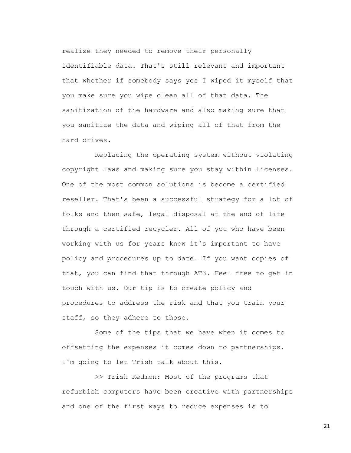realize they needed to remove their personally identifiable data. That's still relevant and important that whether if somebody says yes I wiped it myself that you make sure you wipe clean all of that data. The sanitization of the hardware and also making sure that you sanitize the data and wiping all of that from the hard drives.

Replacing the operating system without violating copyright laws and making sure you stay within licenses. One of the most common solutions is become a certified reseller. That's been a successful strategy for a lot of folks and then safe, legal disposal at the end of life through a certified recycler. All of you who have been working with us for years know it's important to have policy and procedures up to date. If you want copies of that, you can find that through AT3. Feel free to get in touch with us. Our tip is to create policy and procedures to address the risk and that you train your staff, so they adhere to those.

Some of the tips that we have when it comes to offsetting the expenses it comes down to partnerships. I'm going to let Trish talk about this.

>> Trish Redmon: Most of the programs that refurbish computers have been creative with partnerships and one of the first ways to reduce expenses is to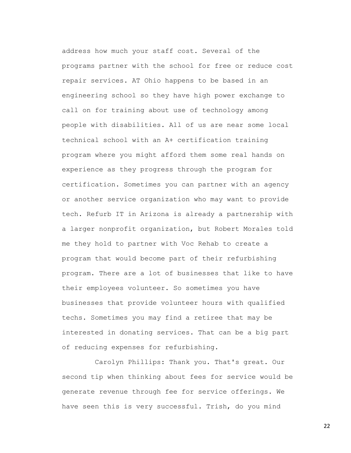address how much your staff cost. Several of the programs partner with the school for free or reduce cost repair services. AT Ohio happens to be based in an engineering school so they have high power exchange to call on for training about use of technology among people with disabilities. All of us are near some local technical school with an A+ certification training program where you might afford them some real hands on experience as they progress through the program for certification. Sometimes you can partner with an agency or another service organization who may want to provide tech. Refurb IT in Arizona is already a partnership with a larger nonprofit organization, but Robert Morales told me they hold to partner with Voc Rehab to create a program that would become part of their refurbishing program. There are a lot of businesses that like to have their employees volunteer. So sometimes you have businesses that provide volunteer hours with qualified techs. Sometimes you may find a retiree that may be interested in donating services. That can be a big part of reducing expenses for refurbishing.

Carolyn Phillips: Thank you. That's great. Our second tip when thinking about fees for service would be generate revenue through fee for service offerings. We have seen this is very successful. Trish, do you mind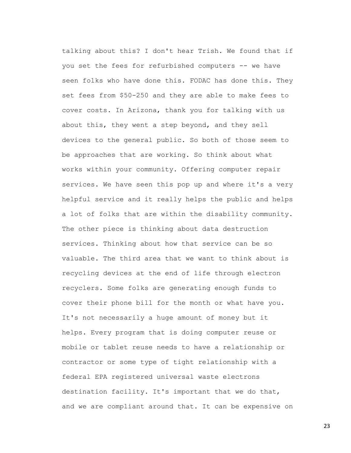talking about this? I don't hear Trish. We found that if you set the fees for refurbished computers -- we have seen folks who have done this. FODAC has done this. They set fees from \$50-250 and they are able to make fees to cover costs. In Arizona, thank you for talking with us about this, they went a step beyond, and they sell devices to the general public. So both of those seem to be approaches that are working. So think about what works within your community. Offering computer repair services. We have seen this pop up and where it's a very helpful service and it really helps the public and helps a lot of folks that are within the disability community. The other piece is thinking about data destruction services. Thinking about how that service can be so valuable. The third area that we want to think about is recycling devices at the end of life through electron recyclers. Some folks are generating enough funds to cover their phone bill for the month or what have you. It's not necessarily a huge amount of money but it helps. Every program that is doing computer reuse or mobile or tablet reuse needs to have a relationship or contractor or some type of tight relationship with a federal EPA registered universal waste electrons destination facility. It's important that we do that, and we are compliant around that. It can be expensive on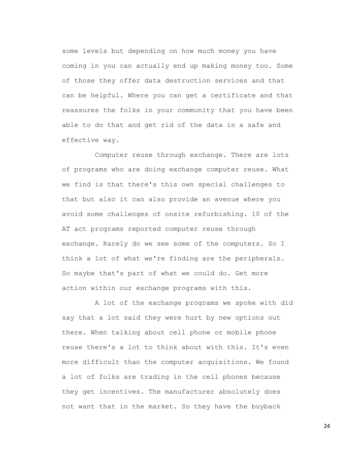some levels but depending on how much money you have coming in you can actually end up making money too. Some of those they offer data destruction services and that can be helpful. Where you can get a certificate and that reassures the folks in your community that you have been able to do that and get rid of the data in a safe and effective way.

Computer reuse through exchange. There are lots of programs who are doing exchange computer reuse. What we find is that there's this own special challenges to that but also it can also provide an avenue where you avoid some challenges of onsite refurbishing. 10 of the AT act programs reported computer reuse through exchange. Rarely do we see some of the computers. So I think a lot of what we're finding are the peripherals. So maybe that's part of what we could do. Get more action within our exchange programs with this.

A lot of the exchange programs we spoke with did say that a lot said they were hurt by new options out there. When talking about cell phone or mobile phone reuse there's a lot to think about with this. It's even more difficult than the computer acquisitions. We found a lot of folks are trading in the cell phones because they get incentives. The manufacturer absolutely does not want that in the market. So they have the buyback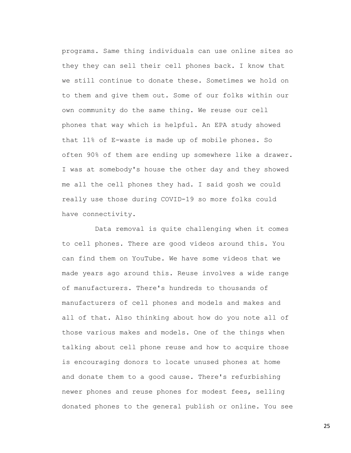programs. Same thing individuals can use online sites so they they can sell their cell phones back. I know that we still continue to donate these. Sometimes we hold on to them and give them out. Some of our folks within our own community do the same thing. We reuse our cell phones that way which is helpful. An EPA study showed that 11% of E-waste is made up of mobile phones. So often 90% of them are ending up somewhere like a drawer. I was at somebody's house the other day and they showed me all the cell phones they had. I said gosh we could really use those during COVID-19 so more folks could have connectivity.

Data removal is quite challenging when it comes to cell phones. There are good videos around this. You can find them on YouTube. We have some videos that we made years ago around this. Reuse involves a wide range of manufacturers. There's hundreds to thousands of manufacturers of cell phones and models and makes and all of that. Also thinking about how do you note all of those various makes and models. One of the things when talking about cell phone reuse and how to acquire those is encouraging donors to locate unused phones at home and donate them to a good cause. There's refurbishing newer phones and reuse phones for modest fees, selling donated phones to the general publish or online. You see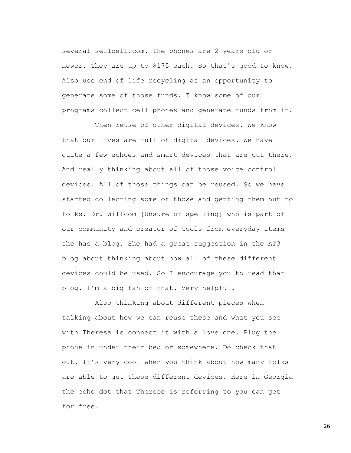several sellcell.com. The phones are 2 years old or newer. They are up to \$175 each. So that's good to know. Also use end of life recycling as an opportunity to generate some of those funds. I know some of our programs collect cell phones and generate funds from it.

Then reuse of other digital devices. We know that our lives are full of digital devices. We have quite a few echoes and smart devices that are out there. And really thinking about all of those voice control devices. All of those things can be reused. So we have started collecting some of those and getting them out to folks. Dr. Willcom [Unsure of spelling] who is part of our community and creator of tools from everyday items she has a blog. She had a great suggestion in the AT3 blog about thinking about how all of these different devices could be used. So I encourage you to read that blog. I'm a big fan of that. Very helpful.

Also thinking about different pieces when talking about how we can reuse these and what you see with Theresa is connect it with a love one. Plug the phone in under their bed or somewhere. Do check that out. It's very cool when you think about how many folks are able to get these different devices. Here in Georgia the echo dot that Therese is referring to you can get for free.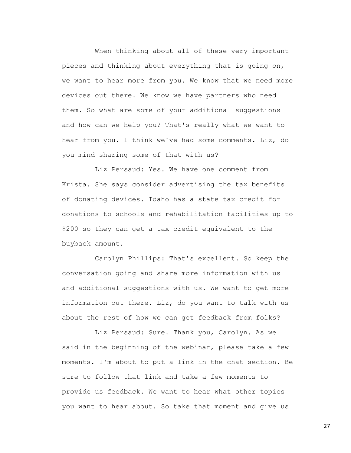When thinking about all of these very important pieces and thinking about everything that is going on, we want to hear more from you. We know that we need more devices out there. We know we have partners who need them. So what are some of your additional suggestions and how can we help you? That's really what we want to hear from you. I think we've had some comments. Liz, do you mind sharing some of that with us?

Liz Persaud: Yes. We have one comment from Krista. She says consider advertising the tax benefits of donating devices. Idaho has a state tax credit for donations to schools and rehabilitation facilities up to \$200 so they can get a tax credit equivalent to the buyback amount.

Carolyn Phillips: That's excellent. So keep the conversation going and share more information with us and additional suggestions with us. We want to get more information out there. Liz, do you want to talk with us about the rest of how we can get feedback from folks?

Liz Persaud: Sure. Thank you, Carolyn. As we said in the beginning of the webinar, please take a few moments. I'm about to put a link in the chat section. Be sure to follow that link and take a few moments to provide us feedback. We want to hear what other topics you want to hear about. So take that moment and give us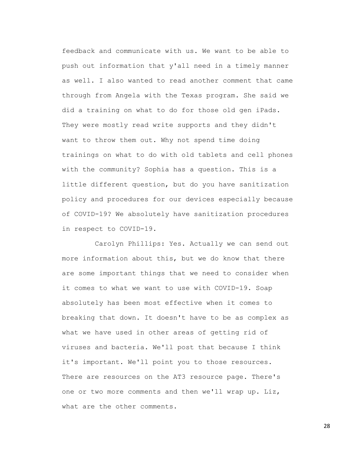feedback and communicate with us. We want to be able to push out information that y'all need in a timely manner as well. I also wanted to read another comment that came through from Angela with the Texas program. She said we did a training on what to do for those old gen iPads. They were mostly read write supports and they didn't want to throw them out. Why not spend time doing trainings on what to do with old tablets and cell phones with the community? Sophia has a question. This is a little different question, but do you have sanitization policy and procedures for our devices especially because of COVID-19? We absolutely have sanitization procedures in respect to COVID-19.

Carolyn Phillips: Yes. Actually we can send out more information about this, but we do know that there are some important things that we need to consider when it comes to what we want to use with COVID-19. Soap absolutely has been most effective when it comes to breaking that down. It doesn't have to be as complex as what we have used in other areas of getting rid of viruses and bacteria. We'll post that because I think it's important. We'll point you to those resources. There are resources on the AT3 resource page. There's one or two more comments and then we'll wrap up. Liz, what are the other comments.